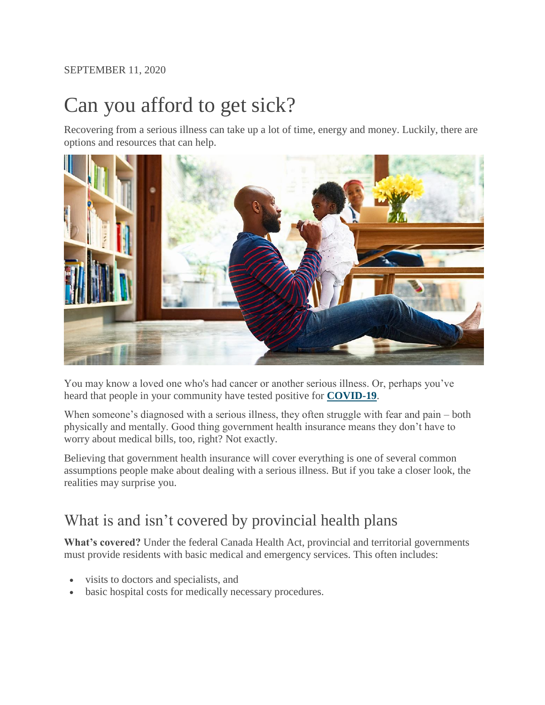#### SEPTEMBER 11, 2020

# Can you afford to get sick?

Recovering from a serious illness can take up a lot of time, energy and money. Luckily, there are options and resources that can help.



You may know a loved one who's had cancer or another serious illness. Or, perhaps you've heard that people in your community have tested positive for **[COVID-19](https://www.sunlife.ca/en/covid-19/)**.

When someone's diagnosed with a serious illness, they often struggle with fear and pain – both physically and mentally. Good thing government health insurance means they don't have to worry about medical bills, too, right? Not exactly.

Believing that government health insurance will cover everything is one of several common assumptions people make about dealing with a serious illness. But if you take a closer look, the realities may surprise you.

## What is and isn't covered by provincial health plans

**What's covered?** Under the federal Canada Health Act, provincial and territorial governments must provide residents with basic medical and emergency services. This often includes:

- visits to doctors and specialists, and
- basic hospital costs for medically necessary procedures.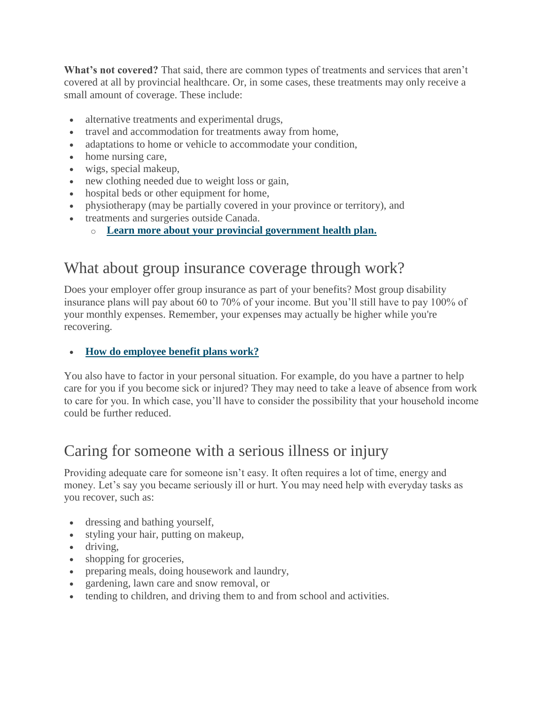**What's not covered?** That said, there are common types of treatments and services that aren't covered at all by provincial healthcare. Or, in some cases, these treatments may only receive a small amount of coverage. These include:

- alternative treatments and experimental drugs,
- travel and accommodation for treatments away from home,
- adaptations to home or vehicle to accommodate your condition,
- home nursing care,
- wigs, special makeup,
- new clothing needed due to weight loss or gain,
- hospital beds or other equipment for home,
- physiotherapy (may be partially covered in your province or territory), and
- treatments and surgeries outside Canada.
	- o **[Learn more about your provincial government health plan.](https://www.sunlife.ca/en/explore-products/insurance/health-insurance/personal-health-insurance/provincial-healthcare-coverage/)**

## What about group insurance coverage through work?

Does your employer offer group insurance as part of your benefits? Most group disability insurance plans will pay about 60 to 70% of your income. But you'll still have to pay 100% of your monthly expenses. Remember, your expenses may actually be higher while you're recovering.

#### **[How do employee benefit plans work?](https://www.sunlife.ca/en/tools-and-resources/money-and-finances/understanding-health-insurance/how-do-employee-benefit-plans-work/)**

You also have to factor in your personal situation. For example, do you have a partner to help care for you if you become sick or injured? They may need to take a leave of absence from work to care for you. In which case, you'll have to consider the possibility that your household income could be further reduced.

## Caring for someone with a serious illness or injury

Providing adequate care for someone isn't easy. It often requires a lot of time, energy and money. Let's say you became seriously ill or hurt. You may need help with everyday tasks as you recover, such as:

- dressing and bathing yourself,
- styling your hair, putting on makeup,
- driving,
- shopping for groceries,
- preparing meals, doing housework and laundry,
- gardening, lawn care and snow removal, or
- tending to children, and driving them to and from school and activities.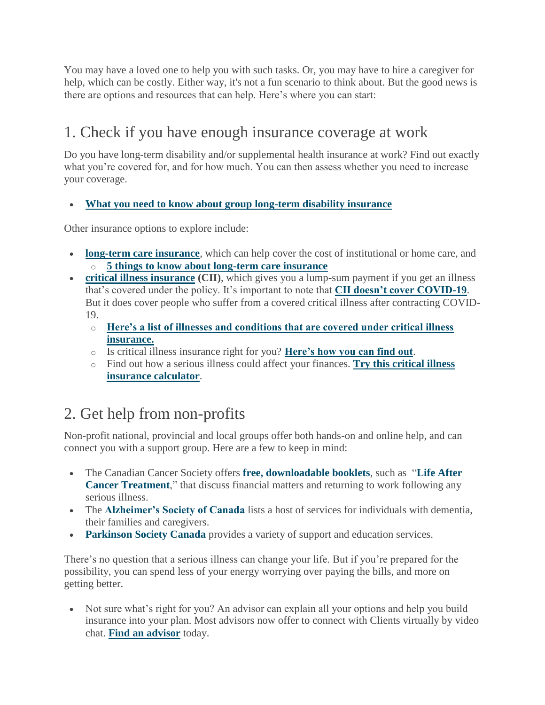You may have a loved one to help you with such tasks. Or, you may have to hire a caregiver for help, which can be costly. Either way, it's not a fun scenario to think about. But the good news is there are options and resources that can help. Here's where you can start:

# 1. Check if you have enough insurance coverage at work

Do you have long-term disability and/or supplemental health insurance at work? Find out exactly what you're covered for, and for how much. You can then assess whether you need to increase your coverage.

**[What you need to know about group long-term disability insurance](https://www.sunlife.ca/en/tools-and-resources/money-and-finances/understanding-health-insurance/when-is-group-ltd-insurance-not-enough/)**

Other insurance options to explore include:

- **[long-term care insurance](https://www.sunlife.ca/en/explore-products/insurance/health-insurance/long-term-care-insurance/)**, which can help cover the cost of institutional or home care, and o **[5 things to know about long-term care insurance](https://www.sunlife.ca/en/tools-and-resources/money-and-finances/understanding-health-insurance/five-things-to-know-about-long-term-care-insurance/)**
- **[critical illness insurance](https://www.sunlife.ca/en/tools-and-resources/money-and-finances/understanding-health-insurance/simply-put-what-is-critical-illness-insurance-video/) (CII)**, which gives you a lump-sum payment if you get an illness that's covered under the policy. It's important to note that **[CII doesn't cover COVID-19](https://www.sunlife.ca/en/covid-19/)**. But it does cover people who suffer from a covered critical illness after contracting COVID-19.
	- o **[Here's a list of illnesses and conditions that are covered under critical illness](https://www.sunlife.ca/en/explore-products/insurance/health-insurance/critical-illness-insurance/sun-critical-illness-insurance/26-full-payout-illnesses/)  [insurance.](https://www.sunlife.ca/en/explore-products/insurance/health-insurance/critical-illness-insurance/sun-critical-illness-insurance/26-full-payout-illnesses/)**
	- o Is critical illness insurance right for you? **[Here's how you can find out](https://www.sunlife.ca/en/tools-and-resources/money-and-finances/understanding-health-insurance/do-you-need-critical-illness-insurance/)**.
	- o Find out how a serious illness could affect your finances. **[Try this critical illness](https://www.sunlife.ca/en/tools-and-resources/tools-and-calculators/critical-illness-insurance-calculator/)  [insurance calculator](https://www.sunlife.ca/en/tools-and-resources/tools-and-calculators/critical-illness-insurance-calculator/)**.

# 2. Get help from non-profits

Non-profit national, provincial and local groups offer both hands-on and online help, and can connect you with a support group. Here are a few to keep in mind:

- The Canadian Cancer Society offers **[free, downloadable booklets](https://www.cancer.ca/en/support-and-services/resources/publications/?region=on)**, such as "**[Life After](https://www.cancer.ca/~/media/cancer.ca/CW/publications/Life%20after%20cancer%20treatment/32060-1-NO.pdf)  [Cancer Treatment](https://www.cancer.ca/~/media/cancer.ca/CW/publications/Life%20after%20cancer%20treatment/32060-1-NO.pdf)**," that discuss financial matters and returning to work following any serious illness.
- The **[Alzheimer's Society of Canada](https://alzheimer.ca/en/Home)** lists a host of services for individuals with dementia, their families and caregivers.
- **[Parkinson Society Canada](https://www.parkinson.ca/)** provides a variety of support and education services.

There's no question that a serious illness can change your life. But if you're prepared for the possibility, you can spend less of your energy worrying over paying the bills, and more on getting better.

 Not sure what's right for you? An advisor can explain all your options and help you build insurance into your plan. Most advisors now offer to connect with Clients virtually by video chat. **Find an advisor** today.